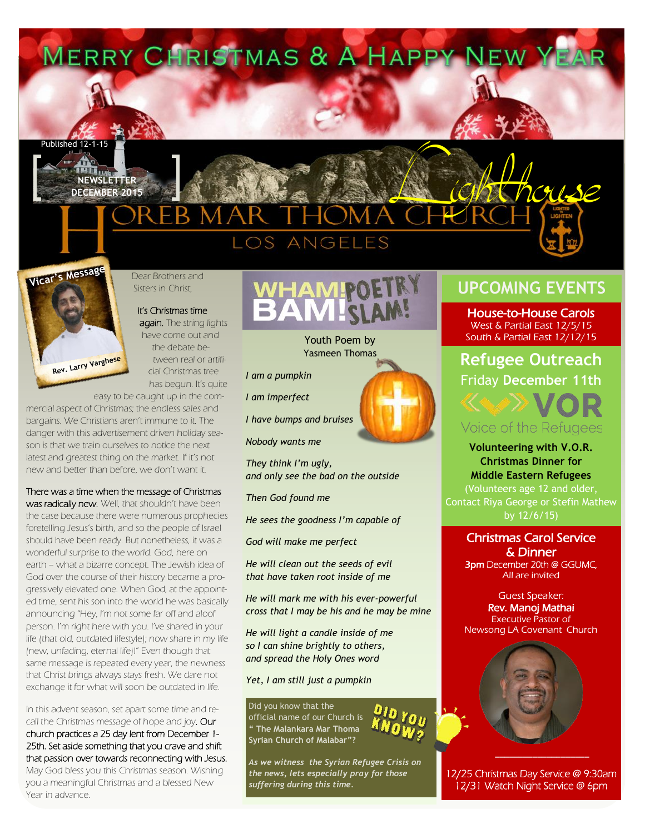









Dear Brothers and Sisters in Christ,

## It's Christmas time

again. The string lights have come out and the debate between real or artificial Christmas tree has begun. It's quite

easy to be caught up in the com-

mercial aspect of Christmas; the endless sales and bargains. We Christians aren't immune to it. The danger with this advertisement driven holiday season is that we train ourselves to notice the next latest and greatest thing on the market. If it's not new and better than before, we don't want it.

#### There was a time when the message of Christmas

was radically new. Well, that shouldn't have been the case because there were numerous prophecies foretelling Jesus's birth, and so the people of Israel should have been ready. But nonetheless, it was a wonderful surprise to the world. God, here on earth – what a bizarre concept. The Jewish idea of God over the course of their history became a progressively elevated one. When God, at the appointed time, sent his son into the world he was basically announcing "Hey, I'm not some far off and aloof person. I'm right here with you. I've shared in your life (that old, outdated lifestyle); now share in my life (new, unfading, eternal life)!" Even though that same message is repeated every year, the newness that Christ brings always stays fresh. We dare not exchange it for what will soon be outdated in life.

In this advent season, set apart some time and recall the Christmas message of hope and joy. Our church practices a 25 day lent from December 1- 25th. Set aside something that you crave and shift that passion over towards reconnecting with Jesus. May God bless you this Christmas season. Wishing you a meaningful Christmas and a blessed New Year in advance.



Youth Poem by Yasmeen Thomas

*I am a pumpkin*

*I am imperfect*

*I have bumps and bruises* 

*Nobody wants me*

*They think I'm ugly, and only see the bad on the outside*

*Then God found me*

*He sees the goodness I'm capable of*

*God will make me perfect*

*He will clean out the seeds of evil that have taken root inside of me*

*He will mark me with his ever-powerful cross that I may be his and he may be mine*

*He will light a candle inside of me so I can shine brightly to others, and spread the Holy Ones word*

*Yet, I am still just a pumpkin*

Did you know that the official name of our Church is **" The Malankara Mar Thoma Syrian Church of Malabar"?**

*As we witness the Syrian Refugee Crisis on the news, lets especially pray for those suffering during this time.*

# **UPCOMING EVENTS**

House-to-House Carols West & Partial East 12/5/15 South & Partial East 12/12/15

### **Refugee Outreach** Friday **December 11th**

### Voice of the Refugees

**Volunteering with V.O.R. Christmas Dinner for Middle Eastern Refugees**  (Volunteers age 12 and older, Contact Riya George or Stefin Mathew

### Christmas Carol Service & Dinner 3pm December 20th @ GGUMC, All are invited

Guest Speaker: Rev. Manoj Mathai Executive Pastor of Newsong LA Covenant Church



12/25 Christmas Day Service @ 9:30am 12/31 Watch Night Service @ 6pm

**\_\_\_\_\_\_\_\_\_\_\_\_\_\_\_\_\_\_\_\_**